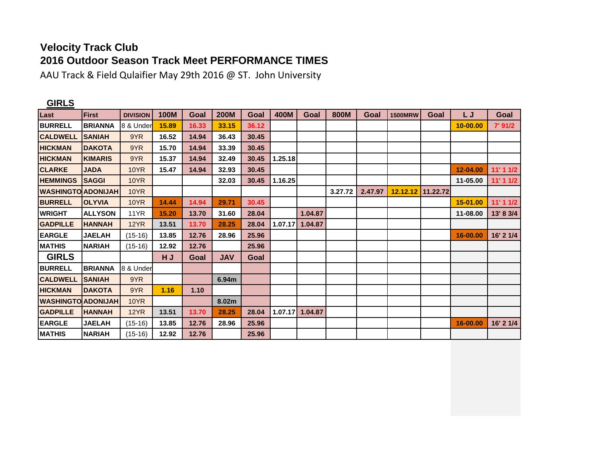## **Velocity Track Club 2016 Outdoor Season Track Meet PERFORMANCE TIMES**

AAU Track & Field Qulaifier May 29th 2016 @ ST. John University

| <b>GIRLS</b>              |                |                 |             |       |             |       |         |         |         |         |                   |      |          |           |
|---------------------------|----------------|-----------------|-------------|-------|-------------|-------|---------|---------|---------|---------|-------------------|------|----------|-----------|
| Last                      | <b>First</b>   | <b>DIVISION</b> | <b>100M</b> | Goal  | <b>200M</b> | Goal  | 400M    | Goal    | 800M    | Goal    | <b>1500MRW</b>    | Goal | L J      | Goal      |
| <b>BURRELL</b>            | <b>BRIANNA</b> | 8 & Under       | 15.89       | 16.33 | 33.15       | 36.12 |         |         |         |         |                   |      | 10-00.00 | 7' 91/2   |
| <b>CALDWELL</b>           | <b>ISANIAH</b> | 9YR             | 16.52       | 14.94 | 36.43       | 30.45 |         |         |         |         |                   |      |          |           |
| <b>HICKMAN</b>            | <b>DAKOTA</b>  | 9YR             | 15.70       | 14.94 | 33.39       | 30.45 |         |         |         |         |                   |      |          |           |
| <b>HICKMAN</b>            | <b>KIMARIS</b> | 9YR             | 15.37       | 14.94 | 32.49       | 30.45 | 1.25.18 |         |         |         |                   |      |          |           |
| <b>CLARKE</b>             | <b>JADA</b>    | <b>10YR</b>     | 15.47       | 14.94 | 32.93       | 30.45 |         |         |         |         |                   |      | 12-04.00 | 11'11/2   |
| <b>HEMMINGS</b>           | <b>SAGGI</b>   | 10YR            |             |       | 32.03       | 30.45 | 1.16.25 |         |         |         |                   |      | 11-05.00 | 11'11/2   |
| <b>WASHINGTO ADONIJAH</b> |                | <b>10YR</b>     |             |       |             |       |         |         | 3.27.72 | 2.47.97 | 12.12.12 11.22.72 |      |          |           |
| <b>BURRELL</b>            | <b>OLYVIA</b>  | <b>10YR</b>     | 14.44       | 14.94 | 29.71       | 30.45 |         |         |         |         |                   |      | 15-01.00 | 11'11/2   |
| <b>WRIGHT</b>             | <b>ALLYSON</b> | 11YR            | 15.20       | 13.70 | 31.60       | 28.04 |         | 1.04.87 |         |         |                   |      | 11-08.00 | 13' 8 3/4 |
| <b>GADPILLE</b>           | <b>HANNAH</b>  | 12YR            | 13.51       | 13.70 | 28.25       | 28.04 | 1.07.17 | 1.04.87 |         |         |                   |      |          |           |
| <b>EARGLE</b>             | <b>JAELAH</b>  | $(15-16)$       | 13.85       | 12.76 | 28.96       | 25.96 |         |         |         |         |                   |      | 16-00.00 | 16' 2 1/4 |
| <b>MATHIS</b>             | <b>NARIAH</b>  | $(15-16)$       | 12.92       | 12.76 |             | 25.96 |         |         |         |         |                   |      |          |           |
| <b>GIRLS</b>              |                |                 | H J         | Goal  | <b>JAV</b>  | Goal  |         |         |         |         |                   |      |          |           |
| <b>BURRELL</b>            | <b>BRIANNA</b> | 8 & Under       |             |       |             |       |         |         |         |         |                   |      |          |           |
| <b>CALDWELL</b>           | <b>ISANIAH</b> | 9YR             |             |       | 6.94m       |       |         |         |         |         |                   |      |          |           |
| <b>HICKMAN</b>            | <b>DAKOTA</b>  | 9YR             | 1.16        | 1.10  |             |       |         |         |         |         |                   |      |          |           |
| <b>WASHINGTO ADONIJAH</b> |                | <b>10YR</b>     |             |       | 8.02m       |       |         |         |         |         |                   |      |          |           |
| <b>GADPILLE</b>           | <b>IHANNAH</b> | <b>12YR</b>     | 13.51       | 13.70 | 28.25       | 28.04 |         |         |         |         |                   |      |          |           |
| <b>EARGLE</b>             | <b>JAELAH</b>  | $(15-16)$       | 13.85       | 12.76 | 28.96       | 25.96 |         |         |         |         |                   |      | 16-00.00 | 16' 2 1/4 |
| <b>MATHIS</b>             | <b>NARIAH</b>  | $(15-16)$       | 12.92       | 12.76 |             | 25.96 |         |         |         |         |                   |      |          |           |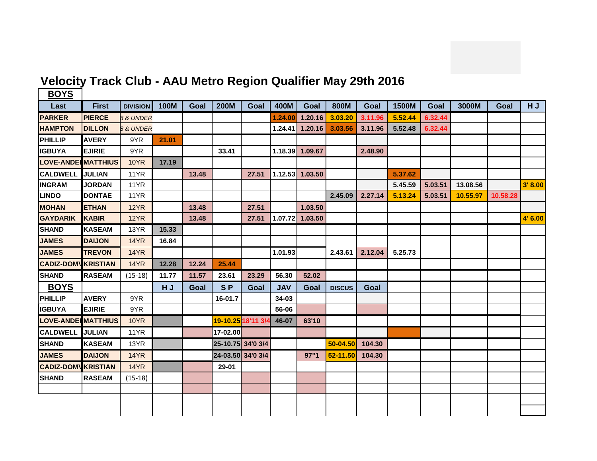

## **Velocity Track Club - AAU Metro Region Qualifier May 29th 2016**

| <b>BOYS</b>                |               |                      |             |       |                    |                   |            |                 |               |         |         |         |          |          |         |
|----------------------------|---------------|----------------------|-------------|-------|--------------------|-------------------|------------|-----------------|---------------|---------|---------|---------|----------|----------|---------|
| Last                       | <b>First</b>  | <b>DIVISION</b>      | <b>100M</b> | Goal  | <b>200M</b>        | Goal              | 400M       | Goal            | 800M          | Goal    | 1500M   | Goal    | 3000M    | Goal     | HJ      |
| <b>PARKER</b>              | <b>PIERCE</b> | <b>8 &amp; UNDER</b> |             |       |                    |                   | 1.24.00    | 1.20.16         | 3.03.20       | 3.11.96 | 5.52.44 | 6.32.44 |          |          |         |
| <b>HAMPTON</b>             | <b>DILLON</b> | 8 & UNDER            |             |       |                    |                   | 1.24.41    | 1.20.16         | 3.03.56       | 3.11.96 | 5.52.48 | 6.32.44 |          |          |         |
| <b>PHILLIP</b>             | <b>AVERY</b>  | 9YR                  | 21.01       |       |                    |                   |            |                 |               |         |         |         |          |          |         |
| <b>IGBUYA</b>              | <b>EJIRIE</b> | 9YR                  |             |       | 33.41              |                   |            | 1.18.39 1.09.67 |               | 2.48.90 |         |         |          |          |         |
| <b>LOVE-ANDER MATTHIUS</b> |               | <b>10YR</b>          | 17.19       |       |                    |                   |            |                 |               |         |         |         |          |          |         |
| <b>CALDWELL</b>            | <b>JULIAN</b> | <b>11YR</b>          |             | 13.48 |                    | 27.51             |            | 1.12.53 1.03.50 |               |         | 5.37.62 |         |          |          |         |
| <b>INGRAM</b>              | <b>JORDAN</b> | 11YR                 |             |       |                    |                   |            |                 |               |         | 5.45.59 | 5.03.51 | 13.08.56 |          | 3' 8.00 |
| <b>LINDO</b>               | <b>DONTAE</b> | 11YR                 |             |       |                    |                   |            |                 | 2.45.09       | 2.27.14 | 5.13.24 | 5.03.51 | 10.55.97 | 10.58.28 |         |
| <b>MOHAN</b>               | <b>ETHAN</b>  | 12YR                 |             | 13.48 |                    | 27.51             |            | 1.03.50         |               |         |         |         |          |          |         |
| <b>GAYDARIK</b>            | <b>KABIR</b>  | 12YR                 |             | 13.48 |                    | 27.51             | 1.07.72    | 1.03.50         |               |         |         |         |          |          | 4' 6.00 |
| <b>SHAND</b>               | <b>KASEAM</b> | 13YR                 | 15.33       |       |                    |                   |            |                 |               |         |         |         |          |          |         |
| <b>JAMES</b>               | <b>DAIJON</b> | 14YR                 | 16.84       |       |                    |                   |            |                 |               |         |         |         |          |          |         |
| <b>JAMES</b>               | <b>TREVON</b> | <b>14YR</b>          |             |       |                    |                   | 1.01.93    |                 | 2.43.61       | 2.12.04 | 5.25.73 |         |          |          |         |
| <b>CADIZ-DOMV KRISTIAN</b> |               | <b>14YR</b>          | 12.28       | 12.24 | 25.44              |                   |            |                 |               |         |         |         |          |          |         |
| <b>SHAND</b>               | <b>RASEAM</b> | $(15-18)$            | 11.77       | 11.57 | 23.61              | 23.29             | 56.30      | 52.02           |               |         |         |         |          |          |         |
| <b>BOYS</b>                |               |                      | HJ          | Goal  | S <sub>P</sub>     | Goal              | <b>JAV</b> | Goal            | <b>DISCUS</b> | Goal    |         |         |          |          |         |
| <b>PHILLIP</b>             | <b>AVERY</b>  | 9YR                  |             |       | 16-01.7            |                   | 34-03      |                 |               |         |         |         |          |          |         |
| <b>IGBUYA</b>              | <b>EJIRIE</b> | 9YR                  |             |       |                    |                   | 56-06      |                 |               |         |         |         |          |          |         |
| <b>LOVE-ANDERMATTHIUS</b>  |               | <b>10YR</b>          |             |       | 19-10.25 18'11 3/4 |                   | 46-07      | 63'10           |               |         |         |         |          |          |         |
| <b>CALDWELL</b>            | <b>JULIAN</b> | 11YR                 |             |       | 17-02.00           |                   |            |                 |               |         |         |         |          |          |         |
| <b>SHAND</b>               | <b>KASEAM</b> | 13YR                 |             |       | 25-10.75 34'0 3/4  |                   |            |                 | 50-04.50      | 104.30  |         |         |          |          |         |
| <b>JAMES</b>               | <b>DAIJON</b> | <b>14YR</b>          |             |       |                    | 24-03.50 34'0 3/4 |            | 97"1            | 52-11.50      | 104.30  |         |         |          |          |         |
| <b>CADIZ-DOMV KRISTIAN</b> |               | <b>14YR</b>          |             |       | 29-01              |                   |            |                 |               |         |         |         |          |          |         |
| <b>SHAND</b>               | <b>RASEAM</b> | $(15-18)$            |             |       |                    |                   |            |                 |               |         |         |         |          |          |         |
|                            |               |                      |             |       |                    |                   |            |                 |               |         |         |         |          |          |         |
|                            |               |                      |             |       |                    |                   |            |                 |               |         |         |         |          |          |         |
|                            |               |                      |             |       |                    |                   |            |                 |               |         |         |         |          |          |         |
|                            |               |                      |             |       |                    |                   |            |                 |               |         |         |         |          |          |         |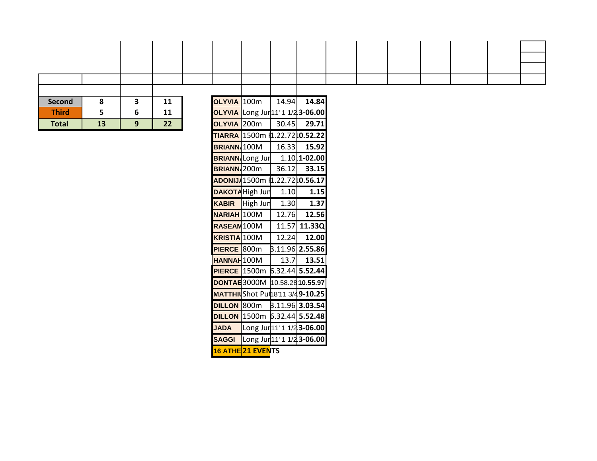| Second       |    | 3 | 11 | OLYVIA 100m                                 | 14.94 | 14.84 |  |  |  |  |
|--------------|----|---|----|---------------------------------------------|-------|-------|--|--|--|--|
| <b>Third</b> |    | 6 | 11 | OLYVIA Long Jur <sup>11'</sup> 1 1/23-06.00 |       |       |  |  |  |  |
| <b>Total</b> | 13 | 9 | 22 | OLYVIA 200m                                 | 30.45 | 29.71 |  |  |  |  |

| OLYVIA 100m                   |                          | 14.94 | 14.84                    |
|-------------------------------|--------------------------|-------|--------------------------|
| <b>OLYVIA</b>                 | Long Jun11' 1 1/23-06.00 |       |                          |
| <b>OLYVIA</b>                 | 200m                     | 30.45 | 29.71                    |
| <b>TIARRA I</b>               | 1500m 1.22.72 0.52.22    |       |                          |
| <b>BRIANN</b> 100M            |                          | 16.33 | 15.92                    |
|                               | <b>BRIANN</b> Long Jur   |       | 1.10 1-02.00             |
| <b>BRIANN</b> <sub>200m</sub> |                          | 36.12 | 33.15                    |
| ADONIJ/1500m                  |                          |       | \$1.22.72 0.56.17        |
|                               | <b>DAKOTA</b> High Jun   | 1.10  | 1.15                     |
| <b>KABIR</b>                  | High Jun                 | 1.30  | 1.37                     |
| <b>NARIAH</b>                 | 100M                     | 12.76 | 12.56                    |
| <b>RASEAM</b> 100M            |                          | 11.57 | 11.33Q                   |
| <b>KRISTIA</b>                | 100M                     | 12.24 | 12.00                    |
| <b>PIERCE</b>                 | 800m                     |       | 3.11.96 <b>2.55.86</b>   |
| <b>HANNAH100M</b>             |                          | 13.7  | 13.51                    |
| <b>PIERCE</b>                 | 1500m                    |       | 6.32.44 5.52.44          |
| DONTAE 3000M                  |                          |       | 10.58.2810.55.97         |
| <b>MATTHI</b>                 | Shot Put18'11 3/49-10.25 |       |                          |
| <b>DILLON 800m</b>            |                          |       | 3.11.96 <b>  3.03.54</b> |
| <b>DILLON</b>                 | 1500m                    |       | 6.32.44 5.52.48          |
| <b>JADA</b>                   | Long Jun11' 1 1/23-06.00 |       |                          |
| <b>SAGGI</b>                  | Long Jun11' 1 1/23-06.00 |       |                          |
| <b>16 ATHE</b>                | <b>21 EVENTS</b>         |       |                          |